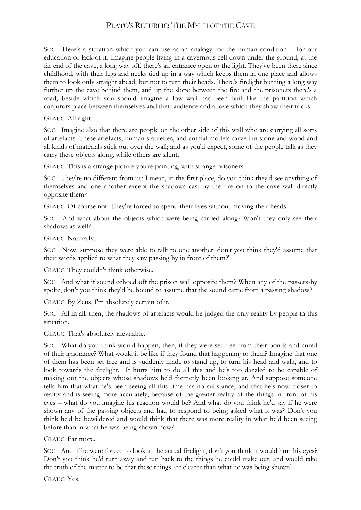## PLATO'S REPUBLIC: THE MYTH OF THE CAVE

SOC. Here's a situation which you can use as an analogy for the human condition – for our education or lack of it. Imagine people living in a cavernous cell down under the ground; at the far end of the cave, a long way off, there's an entrance open to the light. They've been there since childhood, with their legs and necks tied up in a way which keeps them in one place and allows them to look only straight ahead, but not to turn their heads. There's firelight burning a long way further up the cave behind them, and up the slope between the fire and the prisoners there's a road, beside which you should imagine a low wall has been built-like the partition which conjurors place between themselves and their audience and above which they show their tricks.

## GLAUC. All right.

SOC. Imagine also that there are people on the other side of this wall who are carrying all sorts of artefacts. These artefacts, human statuettes, and animal models carved in stone and wood and all kinds of materials stick out over the wall; and as you'd expect, some of the people talk as they carry these objects along, while others are silent.

GLAUC. This is a strange picture you're painting, with strange prisoners.

SOC. They're no different from us: I mean, in the first place, do you think they'd see anything of themselves and one another except the shadows cast by the fire on to the cave wall directly opposite them?

GLAUC. Of course not. They're forced to spend their lives without moving their heads.

SOC. And what about the objects which were being carried along? Won't they only see their shadows as well?

GLAUC. Naturally.

SOC. Now, suppose they were able to talk to one another: don't you think they'd assume that their words applied to what they saw passing by in front of them?'

GLAUC. They couldn't think otherwise.

SOC. And what if sound echoed off the prison wall opposite them? When any of the passers-by spoke, don't you think they'd be bound to assume that the sound came from a passing shadow?

GLAUC. By Zeus, I'm absolutely certain of it.

SOC. All in all, then, the shadows of artefacts would be judged the only reality by people in this situation.

GLAUC. That's absolutely inevitable.

SOC. What do you think would happen, then, if they were set free from their bonds and cured of their ignorance? What would it be like if they found that happening to them? Imagine that one of them has been set free and is suddenly made to stand up, to turn his head and walk, and to look towards the firelight. It hurts him to do all this and he's too dazzled to be capable of making out the objects whose shadows he'd formerly been looking at. And suppose someone tells him that what he's been seeing all this time has no substance, and that he's now closer to reality and is seeing more accurately, because of the greater reality of the things in front of his eyes – what do you imagine his reaction would be? And what do you think he'd say if he were shown any of the passing objects and had to respond to being asked what it was? Don't you think he'd be bewildered and would think that there was more reality in what he'd been seeing before than in what he was being shown now?

GLAUC. Far more.

SOC. And if he were forced to look at the actual firelight, don't you think it would hurt his eyes? Don't you think he'd turn away and run back to the things he could make out, and would take the truth of the matter to be that these things are clearer than what he was being shown?

GLAUC. Yes.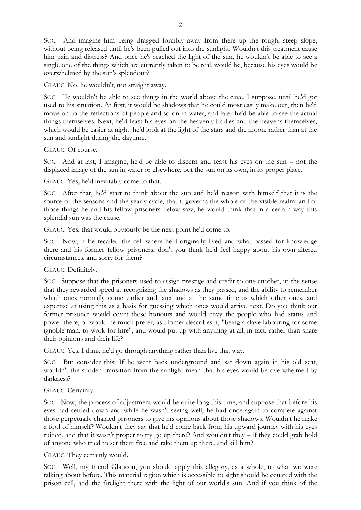SOC. And imagine him being dragged forcibly away from there up the rough, steep slope, without being released until he's been pulled out into the sunlight. Wouldn't this treatment cause him pain and distress? And once he's reached the light of the sun, he wouldn't be able to see a single one of the things which are currently taken to be real, would he, because his eyes would be overwhelmed by the sun's splendour?

GLAUC. No, he wouldn't, not straight away.

SOC. He wouldn't be able to see things in the world above the cave, I suppose, until he'd got used to his situation. At first, it would be shadows that he could most easily make out, then he'd move on to the reflections of people and so on in water, and later he'd be able to see the actual things themselves. Next, he'd feast his eyes on the heavenly bodies and the heavens themselves, which would be easier at night: he'd look at the light of the stars and the moon, rather than at the sun and sunlight during the daytime.

GLAUC. Of course.

SOC. And at last, I imagine, he'd be able to discern and feast his eyes on the sun – not the displaced image of the sun in water or elsewhere, but the sun on its own, in its proper place.

GLAUC. Yes, he'd inevitably come to that.

SOC. After that, he'd start to think about the sun and he'd reason with himself that it is the source of the seasons and the yearly cycle, that it governs the whole of the visible realm; and of those things he and his fellow prisoners below saw, he would think that in a certain way this splendid sun was the cause.

GLAUC. Yes, that would obviously be the next point he'd come to.

SOC. Now, if he recalled the cell where he'd originally lived and what passed for knowledge there and his former fellow prisoners, don't you think he'd feel happy about his own altered circumstances, and sorry for them?

GLAUC. Definitely.

SOC. Suppose that the prisoners used to assign prestige and credit to one another, in the sense that they rewarded speed at recognizing the shadows as they passed, and the ability to remember which ones normally come earlier and later and at the same time as which other ones, and expertise at using this as a basis for guessing which ones would arrive next. Do you think our former prisoner would covet these honours and would envy the people who had status and power there, or would he much prefer, as Homer describes it, "being a slave labouring for some ignoble man, to work for hire", and would put up with anything at all, in fact, rather than share their opinions and their life?

GLAUC. Yes, I think he'd go through anything rather than live that way.

SOC. But consider this: If he went back underground and sat down again in his old seat, wouldn't the sudden transition from the sunlight mean that his eyes would be overwhelmed by darkness?

## GLAUC. Certainly.

SOC. Now, the process of adjustment would be quite long this time, and suppose that before his eyes had settled down and while he wasn't seeing well, he had once again to compete against those perpetually chained prisoners to give his opinions about those shadows. Wouldn't he make a fool of himself? Wouldn't they say that he'd come back from his upward journey with his eyes ruined, and that it wasn't proper to try go up there? And wouldn't they – if they could grab hold of anyone who tried to set them free and take them up there, and kill him?

GLAUC. They certainly would.

SOC. Well, my friend Glaucon, you should apply this allegory, as a whole, to what we were talking about before. This material region which is accessible to sight should be equated with the prison cell, and the firelight there with the light of our world's sun. And if you think of the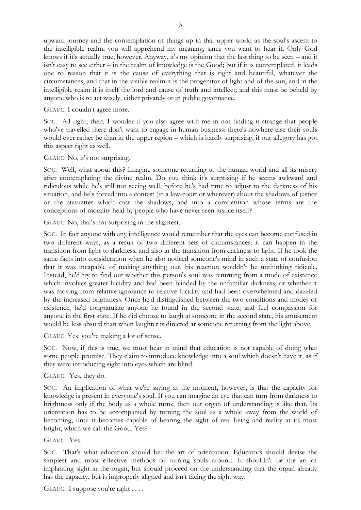upward journey and the contemplation of things up in that upper world as the soul's ascent to the intelligible realm, you will apprehend my meaning, since you want to hear it. Only God knows if it's actually true, however. Anyway, it's my opinion that the last thing to be seen – and it isn't easy to see either – in the realm of knowledge is the Good; but if it is contemplated, it leads one to reason that it is the cause of everything that is right and beautiful, whatever the circumstances, and that in the visible realm it is the progenitor of light and of the sun, and in the intelligible realm it is itself the lord and cause of truth and intellect; and this must be beheld by anyone who is to act wisely, either privately or in public governance.

GLAUC. I couldn't agree more.

SOC. All right, then: I wonder if you also agree with me in not finding it strange that people who've travelled there don't want to engage in human business: there's nowhere else their souls would ever rather be than in the upper region – which is hardly surprising, if our allegory has got this aspect right as well.

GLAUC. No, it's not surprising.

SOC. Well, what about this? Imagine someone returning to the human world and all its misery after contemplating the divine realm. Do you think it's surprising if he seems awkward and ridiculous while he's still not seeing well, before he's had time to adjust to the darkness of his situation, and he's forced into a contest (in a law-court or wherever) about the shadows of justice or the statuettes which cast the shadows, and into a competition whose terms are the conceptions of morality held by people who have never seen justice itself?

GLAUC. No, that's not surprising in the slightest.

SOC. In fact anyone with any intelligence would remember that the eyes can become confused in two different ways, as a result of two different sets of circumstances: it can happen in the transition from light to darkness, and also in the transition from darkness to light. If he took the same facts into consideration when he also noticed someone's mind in such a state of confusion that it was incapable of making anything out, his reaction wouldn't be unthinking ridicule. Instead, he'd try to find out whether this person's soul was returning from a mode of existence which involves greater lucidity and had been blinded by the unfamiliar darkness, or whether it was moving from relative ignorance to relative lucidity and had been overwhelmed and dazzled by the increased brightness. Once he'd distinguished between the two conditions and modes of existence, he'd congratulate anyone he found in the second state, and feel compassion for anyone in the first state. If he did choose to laugh at someone in the second state, his amusement would be less absurd than when laughter is directed at someone returning from the light above.

GLAUC. Yes, you're making a lot of sense.

SOC. Now, if this is true, we must bear in mind that education is not capable of doing what some people promise. They claim to introduce knowledge into a soul which doesn't have it, as if they were introducing sight into eyes which are blind.

## GLAUC. Yes, they do.

SOC. An implication of what we're saying at the moment, however, is that the capacity for knowledge is present in everyone's soul. If you can imagine an eye that can turn from darkness to brightness only if the body as a whole turns, then our organ of understanding is like that. Its orientation has to be accompanied by turning the soul as a whole away from the world of becoming, until it becomes capable of bearing the sight of real being and reality at its most bright, which we call the Good. Yes?

GLAUC. Yes.

SOC. That's what education should be: the art of orientation. Educators should devise the simplest and most effective methods of turning souls around. It shouldn't be the art of implanting sight in the organ, but should proceed on the understanding that the organ already has the capacity, but is improperly aligned and isn't facing the right way.

GLAUC. I suppose you're right . . . .